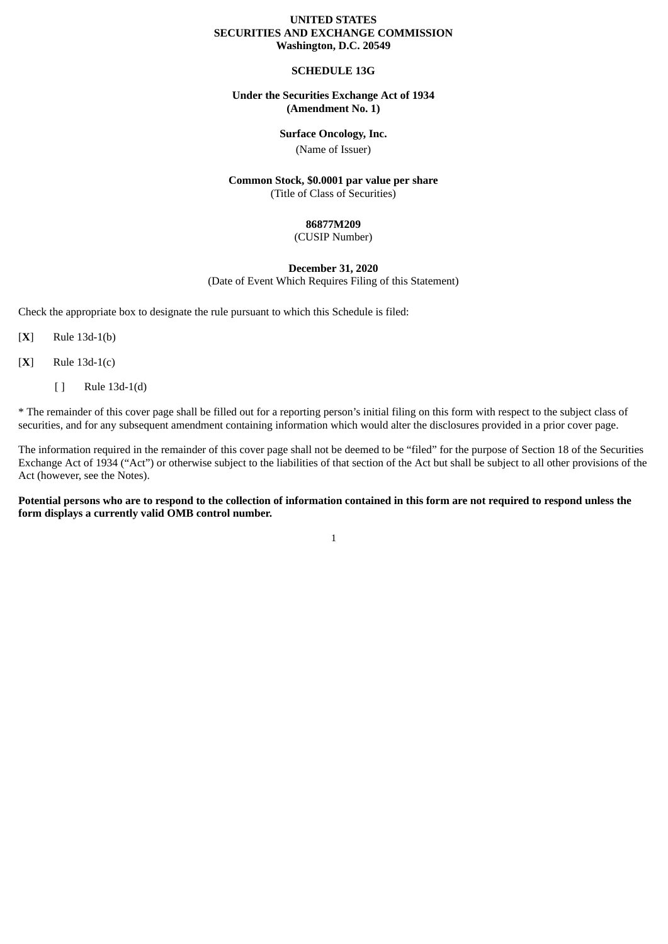#### **UNITED STATES SECURITIES AND EXCHANGE COMMISSION Washington, D.C. 20549**

#### **SCHEDULE 13G**

#### **Under the Securities Exchange Act of 1934 (Amendment No. 1)**

#### **Surface Oncology, Inc.**

(Name of Issuer)

#### **Common Stock, \$0.0001 par value per share** (Title of Class of Securities)

#### **86877M209**

#### (CUSIP Number)

#### **December 31, 2020**

(Date of Event Which Requires Filing of this Statement)

Check the appropriate box to designate the rule pursuant to which this Schedule is filed:

[**X**] Rule 13d-1(b)

[**X**] Rule 13d-1(c)

[ ] Rule 13d-1(d)

\* The remainder of this cover page shall be filled out for a reporting person's initial filing on this form with respect to the subject class of securities, and for any subsequent amendment containing information which would alter the disclosures provided in a prior cover page.

The information required in the remainder of this cover page shall not be deemed to be "filed" for the purpose of Section 18 of the Securities Exchange Act of 1934 ("Act") or otherwise subject to the liabilities of that section of the Act but shall be subject to all other provisions of the Act (however, see the Notes).

Potential persons who are to respond to the collection of information contained in this form are not required to respond unless the **form displays a currently valid OMB control number.**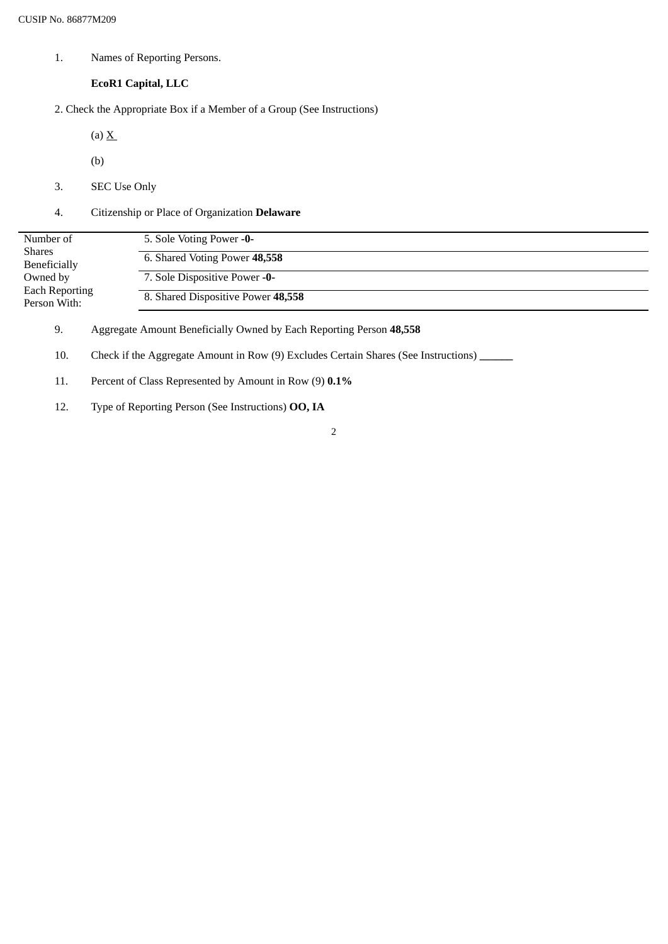1. Names of Reporting Persons.

### **EcoR1 Capital, LLC**

2. Check the Appropriate Box if a Member of a Group (See Instructions)

(a)  $\underline{X}$ 

- (b)
- 3. SEC Use Only
- 4. Citizenship or Place of Organization **Delaware**

| Number of                             | 5. Sole Voting Power -0-           |
|---------------------------------------|------------------------------------|
| <b>Shares</b><br>Beneficially         | 6. Shared Voting Power 48,558      |
| Owned by                              | 7. Sole Dispositive Power -0-      |
| <b>Each Reporting</b><br>Person With: | 8. Shared Dispositive Power 48,558 |

9. Aggregate Amount Beneficially Owned by Each Reporting Person **48,558**

10. Check if the Aggregate Amount in Row (9) Excludes Certain Shares (See Instructions) **\_\_\_\_\_\_**

- 11. Percent of Class Represented by Amount in Row (9) **0.1%**
- 12. Type of Reporting Person (See Instructions) **OO, IA**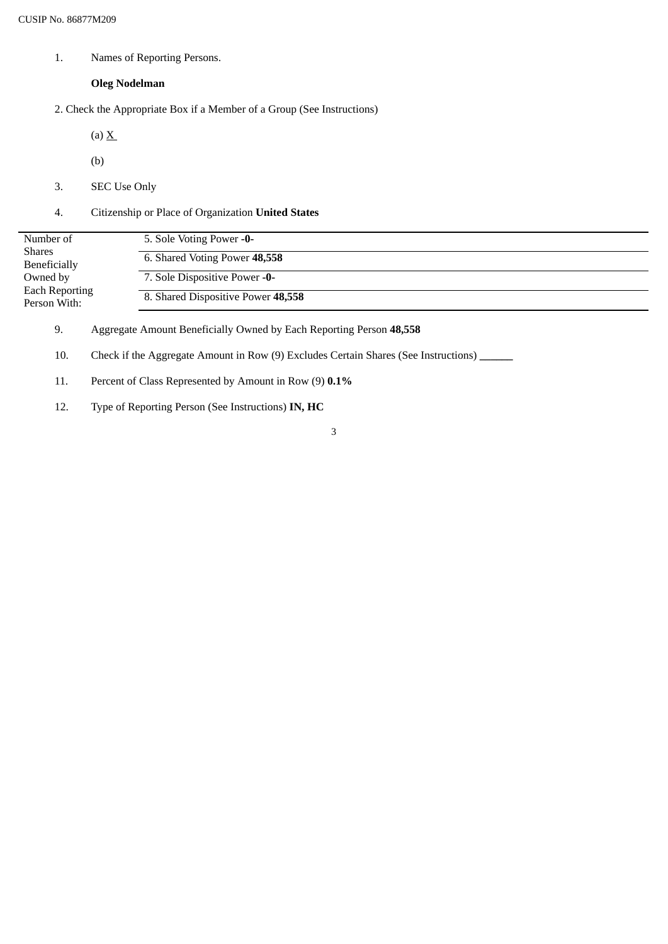1. Names of Reporting Persons.

### **Oleg Nodelman**

2. Check the Appropriate Box if a Member of a Group (See Instructions)

(a)  $\underline{X}$ 

- (b)
- 3. SEC Use Only
- 4. Citizenship or Place of Organization **United States**

| Number of                             | 5. Sole Voting Power -0-           |
|---------------------------------------|------------------------------------|
| Shares<br>Beneficially                | 6. Shared Voting Power 48,558      |
| Owned by                              | 7. Sole Dispositive Power -0-      |
| <b>Each Reporting</b><br>Person With: | 8. Shared Dispositive Power 48,558 |

9. Aggregate Amount Beneficially Owned by Each Reporting Person **48,558**

10. Check if the Aggregate Amount in Row (9) Excludes Certain Shares (See Instructions) **\_\_\_\_\_\_**

- 11. Percent of Class Represented by Amount in Row (9) **0.1%**
- 12. Type of Reporting Person (See Instructions) **IN, HC**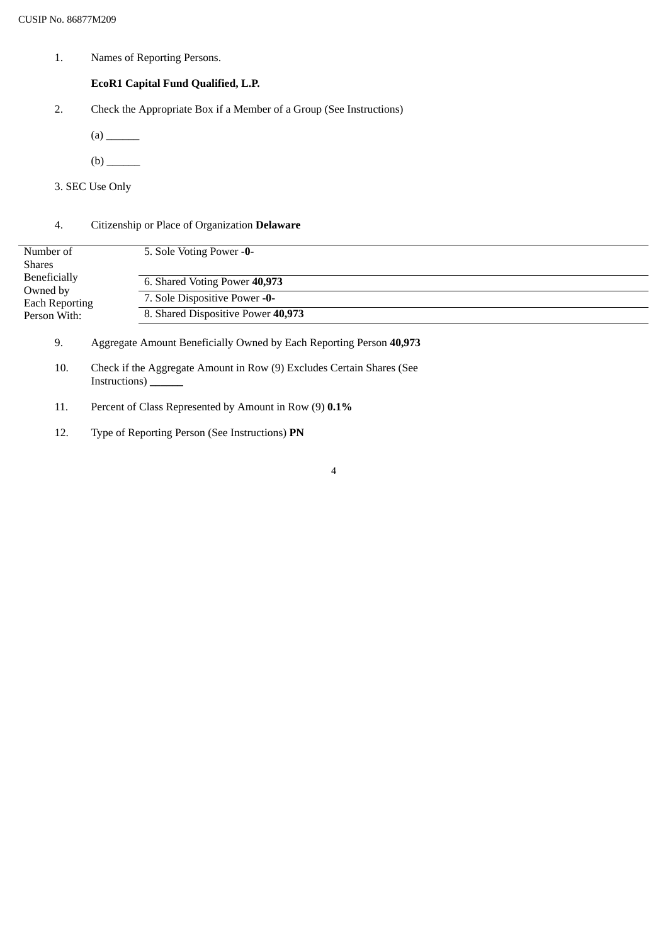1. Names of Reporting Persons.

### **EcoR1 Capital Fund Qualified, L.P.**

- 2. Check the Appropriate Box if a Member of a Group (See Instructions)
	- (a) \_\_\_\_\_\_
	- (b) \_\_\_\_\_\_
- 3. SEC Use Only

### 4. Citizenship or Place of Organization **Delaware**

| Number of<br>Shares               | 5. Sole Voting Power -0-           |
|-----------------------------------|------------------------------------|
|                                   |                                    |
| <b>Beneficially</b>               | 6. Shared Voting Power 40,973      |
| Owned by<br><b>Each Reporting</b> | 7. Sole Dispositive Power -0-      |
| Person With:                      | 8. Shared Dispositive Power 40,973 |

- 9. Aggregate Amount Beneficially Owned by Each Reporting Person **40,973**
- 10. Check if the Aggregate Amount in Row (9) Excludes Certain Shares (See Instructions) **\_\_\_\_\_\_**
- 11. Percent of Class Represented by Amount in Row (9) **0.1%**
- 12. Type of Reporting Person (See Instructions) **PN**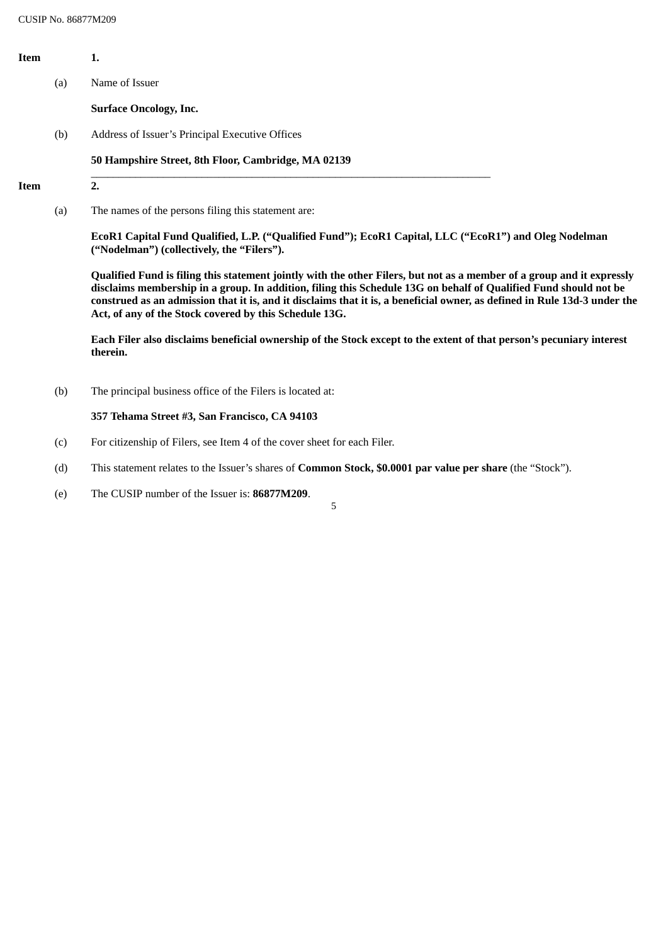| Item |     | 1.                                                                                                                                                                                                                                                                                                                                                                                                                                |
|------|-----|-----------------------------------------------------------------------------------------------------------------------------------------------------------------------------------------------------------------------------------------------------------------------------------------------------------------------------------------------------------------------------------------------------------------------------------|
|      | (a) | Name of Issuer                                                                                                                                                                                                                                                                                                                                                                                                                    |
|      |     | <b>Surface Oncology, Inc.</b>                                                                                                                                                                                                                                                                                                                                                                                                     |
|      | (b) | Address of Issuer's Principal Executive Offices                                                                                                                                                                                                                                                                                                                                                                                   |
|      |     | 50 Hampshire Street, 8th Floor, Cambridge, MA 02139                                                                                                                                                                                                                                                                                                                                                                               |
| Item |     | 2.                                                                                                                                                                                                                                                                                                                                                                                                                                |
|      | (a) | The names of the persons filing this statement are:                                                                                                                                                                                                                                                                                                                                                                               |
|      |     | EcoR1 Capital Fund Qualified, L.P. ("Qualified Fund"); EcoR1 Capital, LLC ("EcoR1") and Oleg Nodelman<br>("Nodelman") (collectively, the "Filers").                                                                                                                                                                                                                                                                               |
|      |     | Qualified Fund is filing this statement jointly with the other Filers, but not as a member of a group and it expressly<br>disclaims membership in a group. In addition, filing this Schedule 13G on behalf of Qualified Fund should not be<br>construed as an admission that it is, and it disclaims that it is, a beneficial owner, as defined in Rule 13d-3 under the<br>Act, of any of the Stock covered by this Schedule 13G. |
|      |     | Each Filer also disclaims beneficial ownership of the Stock except to the extent of that person's pecuniary interest<br>therein.                                                                                                                                                                                                                                                                                                  |
|      | (b) | The principal business office of the Filers is located at:                                                                                                                                                                                                                                                                                                                                                                        |
|      |     | 357 Tehama Street #3, San Francisco, CA 94103                                                                                                                                                                                                                                                                                                                                                                                     |
|      | (c) | For citizenship of Filers, see Item 4 of the cover sheet for each Filer.                                                                                                                                                                                                                                                                                                                                                          |

- (d) This statement relates to the Issuer's shares of **Common Stock, \$0.0001 par value per share** (the "Stock").
- (e) The CUSIP number of the Issuer is: **86877M209**.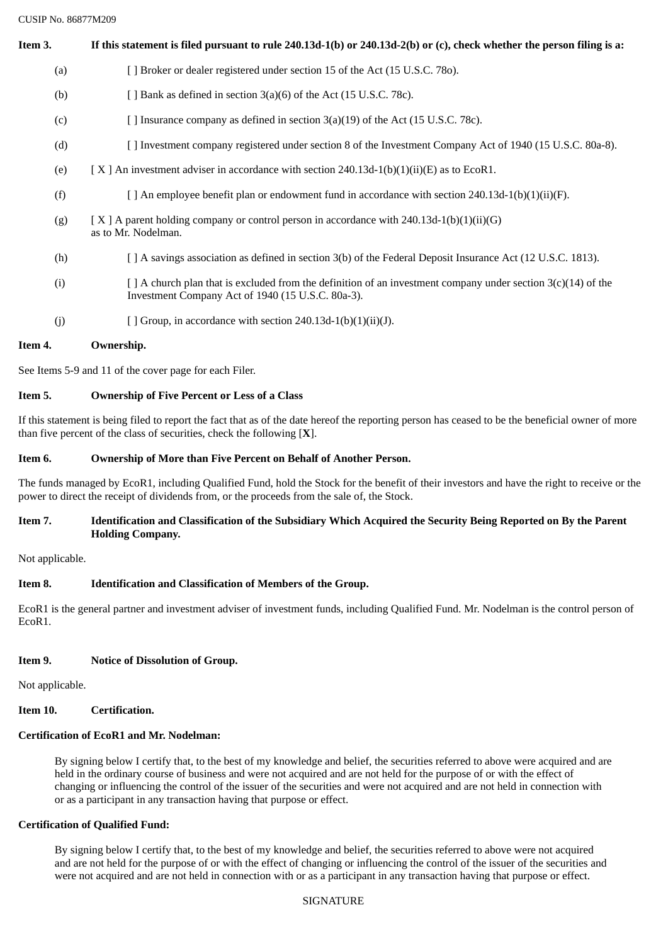CUSIP No. 86877M209

Item 3. If this statement is filed pursuant to rule 240.13d-1(b) or 240.13d-2(b) or (c), check whether the person filing is a: (a) [ ] Broker or dealer registered under section 15 of the Act (15 U.S.C. 78o). (b)  $[$   $]$  Bank as defined in section 3(a)(6) of the Act (15 U.S.C. 78c). (c) [ ] Insurance company as defined in section 3(a)(19) of the Act (15 U.S.C. 78c). (d) [ ] Investment company registered under section 8 of the Investment Company Act of 1940 (15 U.S.C. 80a-8). (e)  $[X]$  An investment adviser in accordance with section 240.13d-1(b)(1)(ii)(E) as to EcoR1. (f) [ ] An employee benefit plan or endowment fund in accordance with section 240.13d-1(b)(1)(ii)(F). (g)  $[X \mid A$  parent holding company or control person in accordance with 240.13d-1(b)(1)(ii)(G) as to Mr. Nodelman. (h) [ ] A savings association as defined in section 3(b) of the Federal Deposit Insurance Act (12 U.S.C. 1813).

- (i)  $\left[ \right]$  A church plan that is excluded from the definition of an investment company under section 3(c)(14) of the Investment Company Act of 1940 (15 U.S.C. 80a-3).
- (j)  $[$  ] Group, in accordance with section 240.13d-1(b)(1)(ii)(J).

# **Item 4. Ownership.**

See Items 5-9 and 11 of the cover page for each Filer.

## **Item 5. Ownership of Five Percent or Less of a Class**

If this statement is being filed to report the fact that as of the date hereof the reporting person has ceased to be the beneficial owner of more than five percent of the class of securities, check the following [**X**].

# **Item 6. Ownership of More than Five Percent on Behalf of Another Person.**

The funds managed by EcoR1, including Qualified Fund, hold the Stock for the benefit of their investors and have the right to receive or the power to direct the receipt of dividends from, or the proceeds from the sale of, the Stock.

## Item 7. Identification and Classification of the Subsidiary Which Acquired the Security Being Reported on By the Parent **Holding Company.**

Not applicable.

# **Item 8. Identification and Classification of Members of the Group.**

EcoR1 is the general partner and investment adviser of investment funds, including Qualified Fund. Mr. Nodelman is the control person of EcoR1.

# **Item 9. Notice of Dissolution of Group.**

Not applicable.

# **Item 10. Certification.**

# **Certification of EcoR1 and Mr. Nodelman:**

By signing below I certify that, to the best of my knowledge and belief, the securities referred to above were acquired and are held in the ordinary course of business and were not acquired and are not held for the purpose of or with the effect of changing or influencing the control of the issuer of the securities and were not acquired and are not held in connection with or as a participant in any transaction having that purpose or effect.

# **Certification of Qualified Fund:**

By signing below I certify that, to the best of my knowledge and belief, the securities referred to above were not acquired and are not held for the purpose of or with the effect of changing or influencing the control of the issuer of the securities and were not acquired and are not held in connection with or as a participant in any transaction having that purpose or effect.

### **SIGNATURE**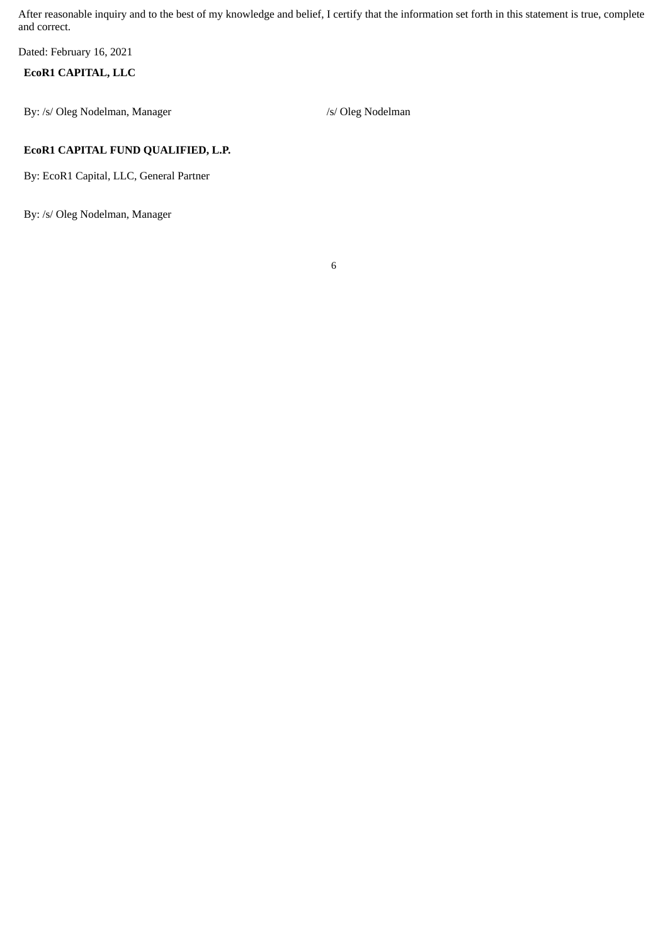After reasonable inquiry and to the best of my knowledge and belief, I certify that the information set forth in this statement is true, complete and correct.

6

Dated: February 16, 2021

## **EcoR1 CAPITAL, LLC**

By: /s/ Oleg Nodelman, Manager /s/ Oleg Nodelman

### **EcoR1 CAPITAL FUND QUALIFIED, L.P.**

By: EcoR1 Capital, LLC, General Partner

By: /s/ Oleg Nodelman, Manager